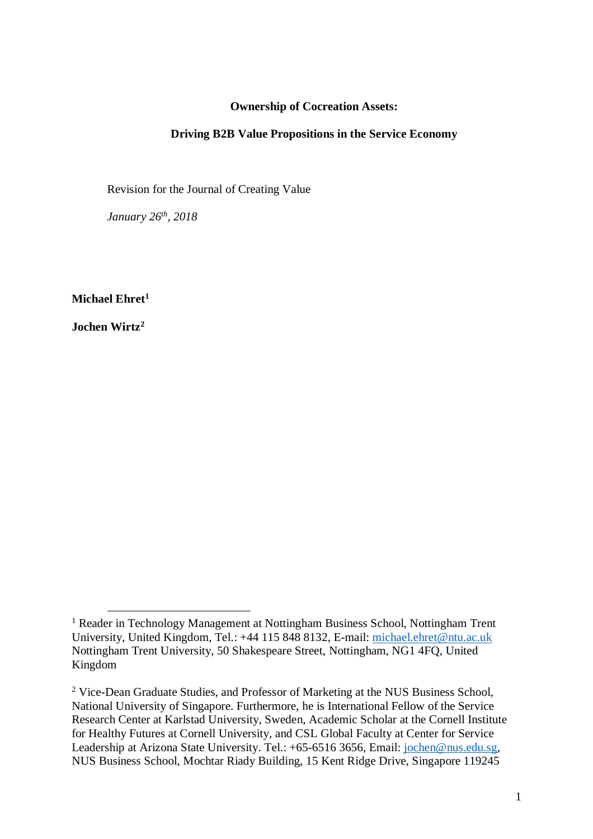## **Ownership of Cocreation Assets:**

#### **Driving B2B Value Propositions in the Service Economy**

Revision for the Journal of Creating Value

*January 26th, 2018*

**Michael Ehret<sup>1</sup>**

**Jochen Wirtz<sup>2</sup>**

 $\overline{a}$ 

<sup>&</sup>lt;sup>1</sup> Reader in Technology Management at Nottingham Business School, Nottingham Trent University, United Kingdom, Tel.: +44 115 848 8132, E-mail: [michael.ehret@ntu.ac.uk](mailto:michael.ehret@ntu.ac.uk) Nottingham Trent University, 50 Shakespeare Street, Nottingham, NG1 4FQ, United Kingdom

<sup>&</sup>lt;sup>2</sup> Vice-Dean Graduate Studies, and Professor of Marketing at the NUS Business School, National University of Singapore. Furthermore, he is International Fellow of the Service Research Center at Karlstad University, Sweden, Academic Scholar at the Cornell Institute for Healthy Futures at Cornell University, and CSL Global Faculty at Center for Service Leadership at Arizona State University. Tel.: +65-6516 3656, Email: [jochen@nus.edu.sg,](mailto:jochen@nus.edu.sg) NUS Business School, Mochtar Riady Building, 15 Kent Ridge Drive, Singapore 119245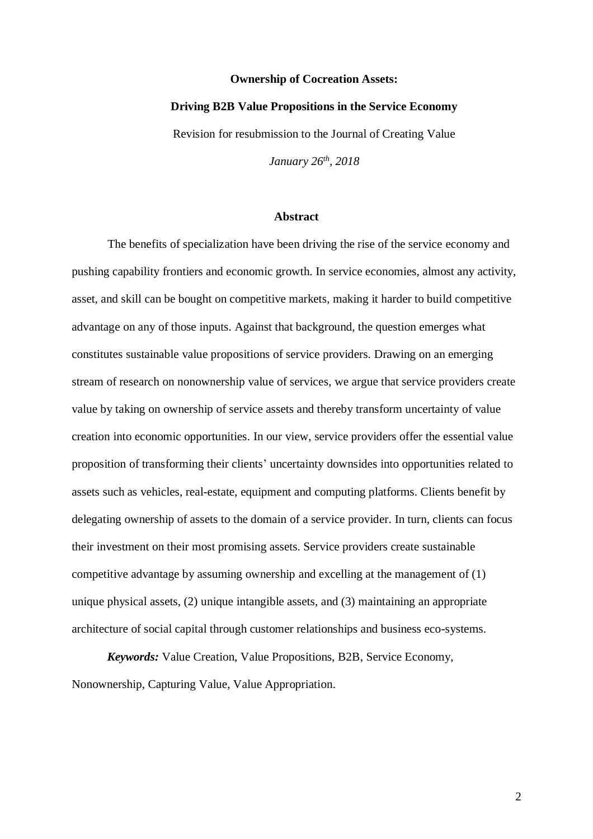#### **Ownership of Cocreation Assets:**

#### **Driving B2B Value Propositions in the Service Economy**

Revision for resubmission to the Journal of Creating Value

*January 26th, 2018*

# **Abstract**

The benefits of specialization have been driving the rise of the service economy and pushing capability frontiers and economic growth. In service economies, almost any activity, asset, and skill can be bought on competitive markets, making it harder to build competitive advantage on any of those inputs. Against that background, the question emerges what constitutes sustainable value propositions of service providers. Drawing on an emerging stream of research on nonownership value of services, we argue that service providers create value by taking on ownership of service assets and thereby transform uncertainty of value creation into economic opportunities. In our view, service providers offer the essential value proposition of transforming their clients' uncertainty downsides into opportunities related to assets such as vehicles, real-estate, equipment and computing platforms. Clients benefit by delegating ownership of assets to the domain of a service provider. In turn, clients can focus their investment on their most promising assets. Service providers create sustainable competitive advantage by assuming ownership and excelling at the management of (1) unique physical assets, (2) unique intangible assets, and (3) maintaining an appropriate architecture of social capital through customer relationships and business eco-systems.

*Keywords:* Value Creation, Value Propositions, B2B, Service Economy, Nonownership, Capturing Value, Value Appropriation.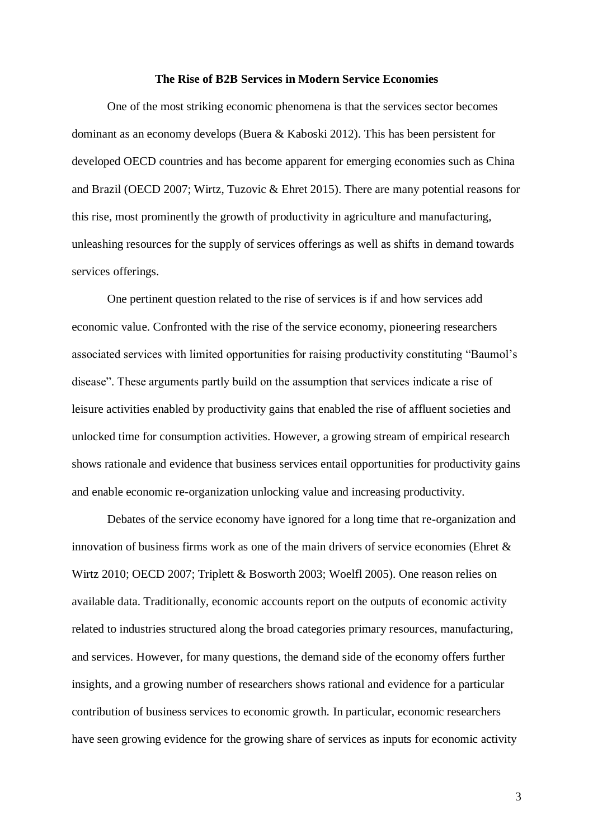#### **The Rise of B2B Services in Modern Service Economies**

One of the most striking economic phenomena is that the services sector becomes dominant as an economy develops (Buera & Kaboski 2012). This has been persistent for developed OECD countries and has become apparent for emerging economies such as China and Brazil (OECD 2007; Wirtz, Tuzovic & Ehret 2015). There are many potential reasons for this rise, most prominently the growth of productivity in agriculture and manufacturing, unleashing resources for the supply of services offerings as well as shifts in demand towards services offerings.

One pertinent question related to the rise of services is if and how services add economic value. Confronted with the rise of the service economy, pioneering researchers associated services with limited opportunities for raising productivity constituting "Baumol's disease". These arguments partly build on the assumption that services indicate a rise of leisure activities enabled by productivity gains that enabled the rise of affluent societies and unlocked time for consumption activities. However, a growing stream of empirical research shows rationale and evidence that business services entail opportunities for productivity gains and enable economic re-organization unlocking value and increasing productivity.

Debates of the service economy have ignored for a long time that re-organization and innovation of business firms work as one of the main drivers of service economies (Ehret  $\&$ Wirtz 2010; OECD 2007; Triplett & Bosworth 2003; Woelfl 2005). One reason relies on available data. Traditionally, economic accounts report on the outputs of economic activity related to industries structured along the broad categories primary resources, manufacturing, and services. However, for many questions, the demand side of the economy offers further insights, and a growing number of researchers shows rational and evidence for a particular contribution of business services to economic growth. In particular, economic researchers have seen growing evidence for the growing share of services as inputs for economic activity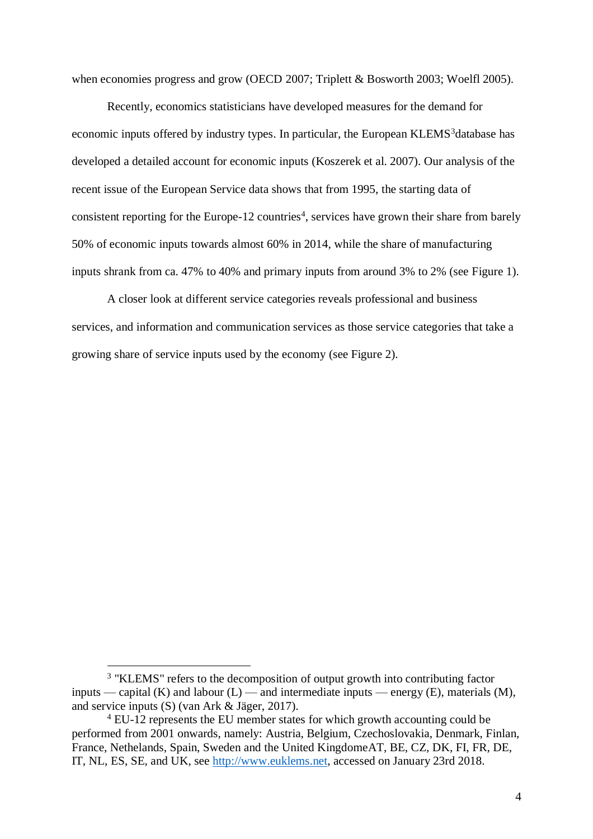when economies progress and grow (OECD 2007; Triplett & Bosworth 2003; Woelfl 2005).

Recently, economics statisticians have developed measures for the demand for economic inputs offered by industry types. In particular, the European KLEMS<sup>3</sup>database has developed a detailed account for economic inputs (Koszerek et al. 2007). Our analysis of the recent issue of the European Service data shows that from 1995, the starting data of consistent reporting for the Europe-12 countries<sup>4</sup>, services have grown their share from barely 50% of economic inputs towards almost 60% in 2014, while the share of manufacturing inputs shrank from ca. 47% to 40% and primary inputs from around 3% to 2% (see Figure 1).

A closer look at different service categories reveals professional and business services, and information and communication services as those service categories that take a growing share of service inputs used by the economy (see Figure 2).

 $\overline{a}$ 

<sup>&</sup>lt;sup>3</sup> "KLEMS" refers to the decomposition of output growth into contributing factor inputs — capital (K) and labour  $(L)$  — and intermediate inputs — energy  $(E)$ , materials  $(M)$ , and service inputs (S) (van Ark & Jäger, 2017).

<sup>4</sup> EU-12 represents the EU member states for which growth accounting could be performed from 2001 onwards, namely: Austria, Belgium, Czechoslovakia, Denmark, Finlan, France, Nethelands, Spain, Sweden and the United KingdomeAT, BE, CZ, DK, FI, FR, DE, IT, NL, ES, SE, and UK, see [http://www.euklems.net,](http://www.euklems.net/) accessed on January 23rd 2018.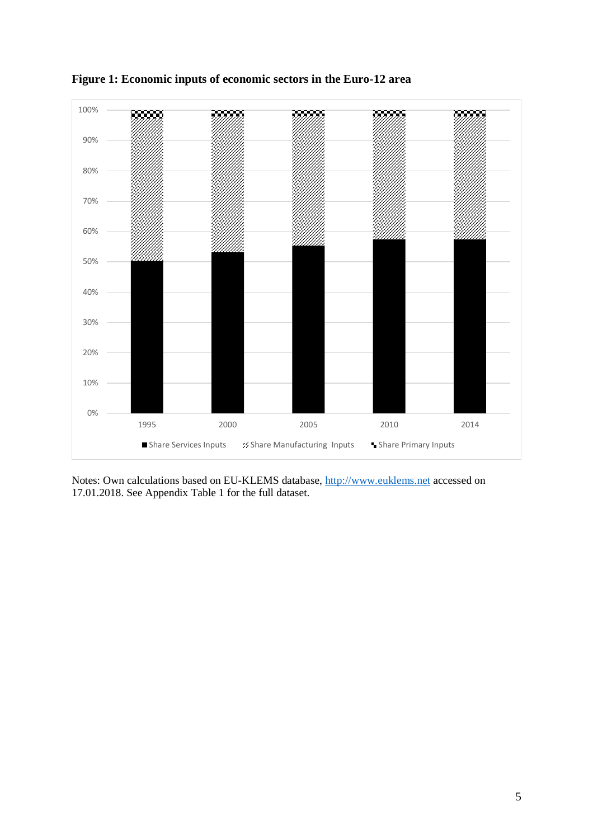

**Figure 1: Economic inputs of economic sectors in the Euro-12 area** 

Notes: Own calculations based on EU-KLEMS database, [http://www.euklems.net](http://www.euklems.net/) accessed on 17.01.2018. See Appendix Table 1 for the full dataset.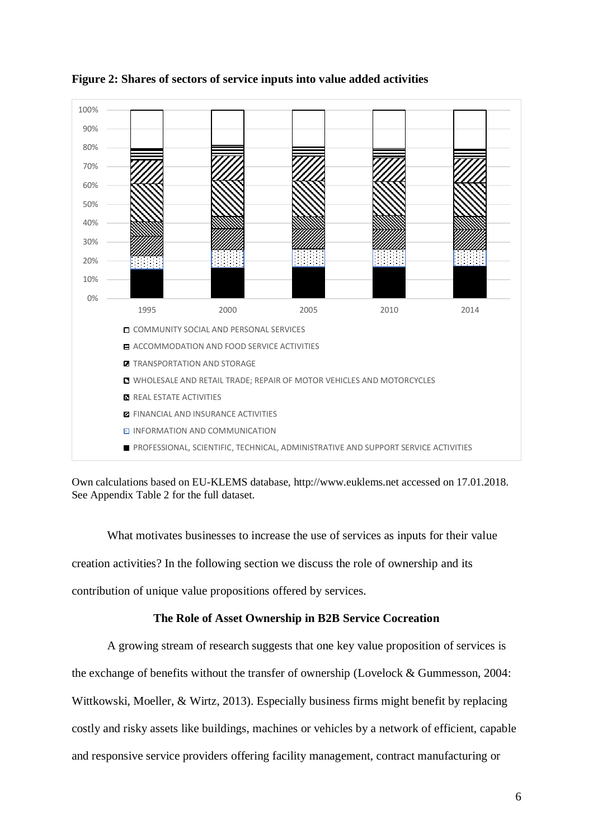



Own calculations based on EU-KLEMS database, [http://www.euklems.net](http://www.euklems.net/) accessed on 17.01.2018. See Appendix Table 2 for the full dataset.

What motivates businesses to increase the use of services as inputs for their value creation activities? In the following section we discuss the role of ownership and its contribution of unique value propositions offered by services.

# **The Role of Asset Ownership in B2B Service Cocreation**

A growing stream of research suggests that one key value proposition of services is the exchange of benefits without the transfer of ownership (Lovelock & Gummesson, 2004: Wittkowski, Moeller, & Wirtz, 2013). Especially business firms might benefit by replacing costly and risky assets like buildings, machines or vehicles by a network of efficient, capable and responsive service providers offering facility management, contract manufacturing or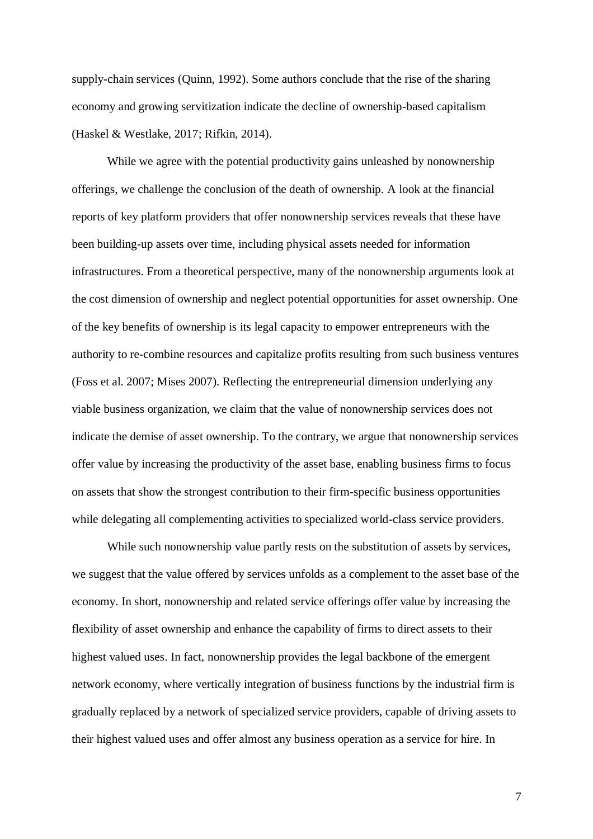supply-chain services (Quinn, 1992). Some authors conclude that the rise of the sharing economy and growing servitization indicate the decline of ownership-based capitalism (Haskel & Westlake, 2017; Rifkin, 2014).

While we agree with the potential productivity gains unleashed by nonownership offerings, we challenge the conclusion of the death of ownership. A look at the financial reports of key platform providers that offer nonownership services reveals that these have been building-up assets over time, including physical assets needed for information infrastructures. From a theoretical perspective, many of the nonownership arguments look at the cost dimension of ownership and neglect potential opportunities for asset ownership. One of the key benefits of ownership is its legal capacity to empower entrepreneurs with the authority to re-combine resources and capitalize profits resulting from such business ventures (Foss et al. 2007; Mises 2007). Reflecting the entrepreneurial dimension underlying any viable business organization, we claim that the value of nonownership services does not indicate the demise of asset ownership. To the contrary, we argue that nonownership services offer value by increasing the productivity of the asset base, enabling business firms to focus on assets that show the strongest contribution to their firm-specific business opportunities while delegating all complementing activities to specialized world-class service providers.

While such nonownership value partly rests on the substitution of assets by services, we suggest that the value offered by services unfolds as a complement to the asset base of the economy. In short, nonownership and related service offerings offer value by increasing the flexibility of asset ownership and enhance the capability of firms to direct assets to their highest valued uses. In fact, nonownership provides the legal backbone of the emergent network economy, where vertically integration of business functions by the industrial firm is gradually replaced by a network of specialized service providers, capable of driving assets to their highest valued uses and offer almost any business operation as a service for hire. In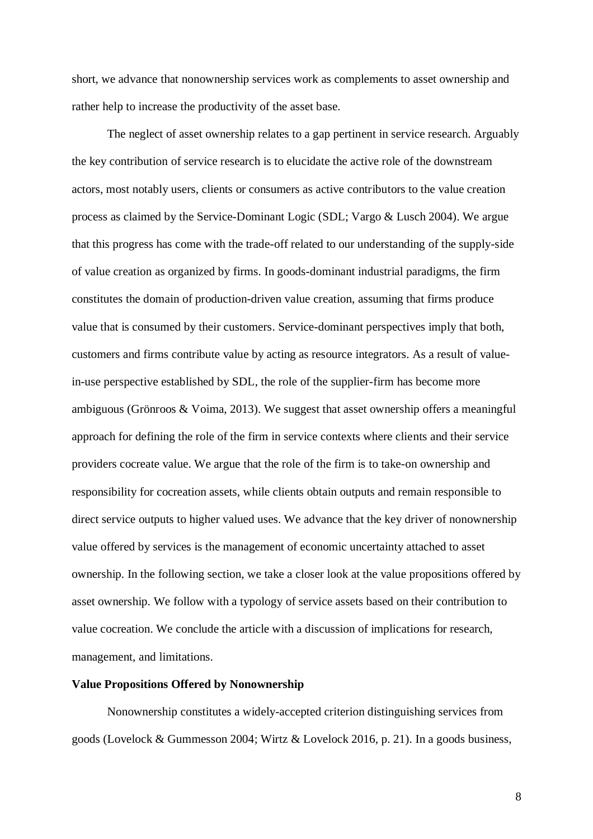short, we advance that nonownership services work as complements to asset ownership and rather help to increase the productivity of the asset base.

The neglect of asset ownership relates to a gap pertinent in service research. Arguably the key contribution of service research is to elucidate the active role of the downstream actors, most notably users, clients or consumers as active contributors to the value creation process as claimed by the Service-Dominant Logic (SDL; Vargo & Lusch 2004). We argue that this progress has come with the trade-off related to our understanding of the supply-side of value creation as organized by firms. In goods-dominant industrial paradigms, the firm constitutes the domain of production-driven value creation, assuming that firms produce value that is consumed by their customers. Service-dominant perspectives imply that both, customers and firms contribute value by acting as resource integrators. As a result of valuein-use perspective established by SDL, the role of the supplier-firm has become more ambiguous (Grönroos & Voima, 2013). We suggest that asset ownership offers a meaningful approach for defining the role of the firm in service contexts where clients and their service providers cocreate value. We argue that the role of the firm is to take-on ownership and responsibility for cocreation assets, while clients obtain outputs and remain responsible to direct service outputs to higher valued uses. We advance that the key driver of nonownership value offered by services is the management of economic uncertainty attached to asset ownership. In the following section, we take a closer look at the value propositions offered by asset ownership. We follow with a typology of service assets based on their contribution to value cocreation. We conclude the article with a discussion of implications for research, management, and limitations.

## **Value Propositions Offered by Nonownership**

Nonownership constitutes a widely-accepted criterion distinguishing services from goods (Lovelock & Gummesson 2004; Wirtz & Lovelock 2016, p. 21). In a goods business,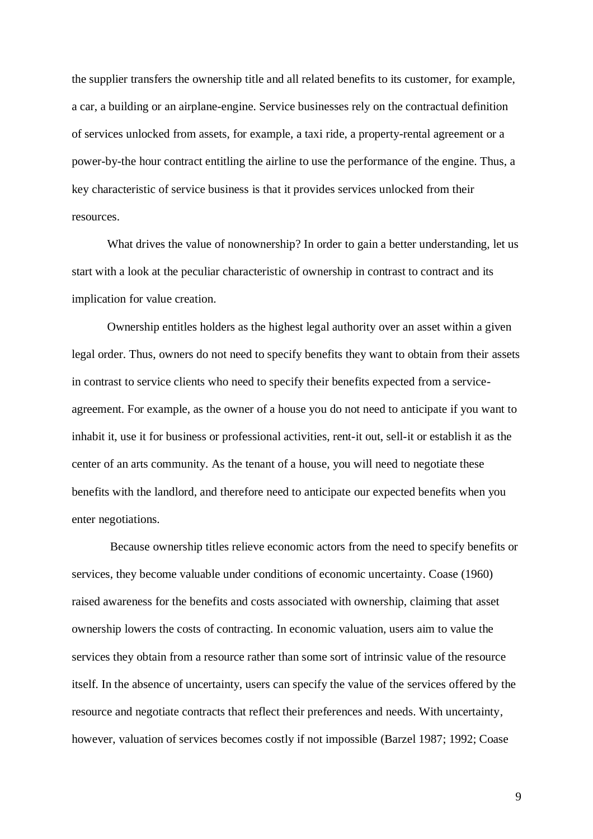the supplier transfers the ownership title and all related benefits to its customer, for example, a car, a building or an airplane-engine. Service businesses rely on the contractual definition of services unlocked from assets, for example, a taxi ride, a property-rental agreement or a power-by-the hour contract entitling the airline to use the performance of the engine. Thus, a key characteristic of service business is that it provides services unlocked from their resources.

What drives the value of nonownership? In order to gain a better understanding, let us start with a look at the peculiar characteristic of ownership in contrast to contract and its implication for value creation.

Ownership entitles holders as the highest legal authority over an asset within a given legal order. Thus, owners do not need to specify benefits they want to obtain from their assets in contrast to service clients who need to specify their benefits expected from a serviceagreement. For example, as the owner of a house you do not need to anticipate if you want to inhabit it, use it for business or professional activities, rent-it out, sell-it or establish it as the center of an arts community. As the tenant of a house, you will need to negotiate these benefits with the landlord, and therefore need to anticipate our expected benefits when you enter negotiations.

Because ownership titles relieve economic actors from the need to specify benefits or services, they become valuable under conditions of economic uncertainty. Coase (1960) raised awareness for the benefits and costs associated with ownership, claiming that asset ownership lowers the costs of contracting. In economic valuation, users aim to value the services they obtain from a resource rather than some sort of intrinsic value of the resource itself. In the absence of uncertainty, users can specify the value of the services offered by the resource and negotiate contracts that reflect their preferences and needs. With uncertainty, however, valuation of services becomes costly if not impossible (Barzel 1987; 1992; Coase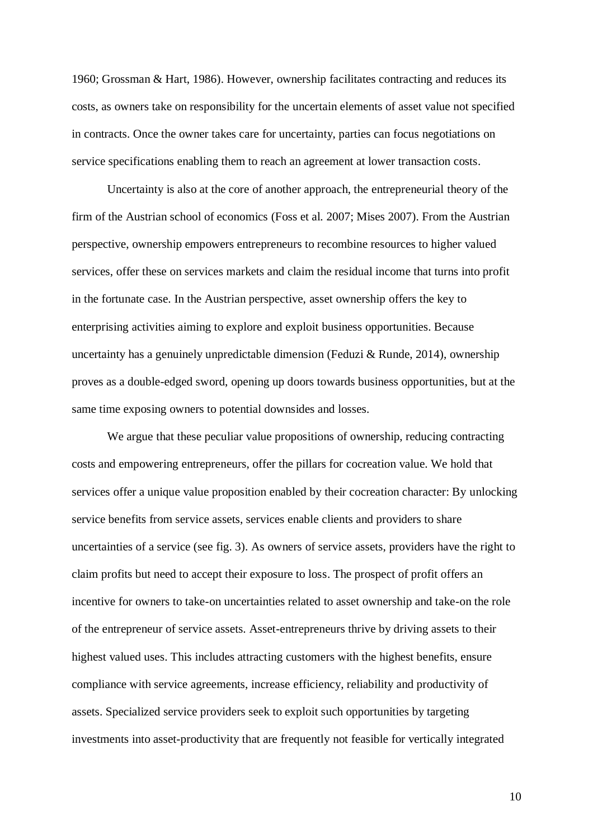1960; Grossman & Hart, 1986). However, ownership facilitates contracting and reduces its costs, as owners take on responsibility for the uncertain elements of asset value not specified in contracts. Once the owner takes care for uncertainty, parties can focus negotiations on service specifications enabling them to reach an agreement at lower transaction costs.

Uncertainty is also at the core of another approach, the entrepreneurial theory of the firm of the Austrian school of economics (Foss et al. 2007; Mises 2007). From the Austrian perspective, ownership empowers entrepreneurs to recombine resources to higher valued services, offer these on services markets and claim the residual income that turns into profit in the fortunate case. In the Austrian perspective, asset ownership offers the key to enterprising activities aiming to explore and exploit business opportunities. Because uncertainty has a genuinely unpredictable dimension (Feduzi & Runde, 2014), ownership proves as a double-edged sword, opening up doors towards business opportunities, but at the same time exposing owners to potential downsides and losses.

We argue that these peculiar value propositions of ownership, reducing contracting costs and empowering entrepreneurs, offer the pillars for cocreation value. We hold that services offer a unique value proposition enabled by their cocreation character: By unlocking service benefits from service assets, services enable clients and providers to share uncertainties of a service (see fig. 3). As owners of service assets, providers have the right to claim profits but need to accept their exposure to loss. The prospect of profit offers an incentive for owners to take-on uncertainties related to asset ownership and take-on the role of the entrepreneur of service assets. Asset-entrepreneurs thrive by driving assets to their highest valued uses. This includes attracting customers with the highest benefits, ensure compliance with service agreements, increase efficiency, reliability and productivity of assets. Specialized service providers seek to exploit such opportunities by targeting investments into asset-productivity that are frequently not feasible for vertically integrated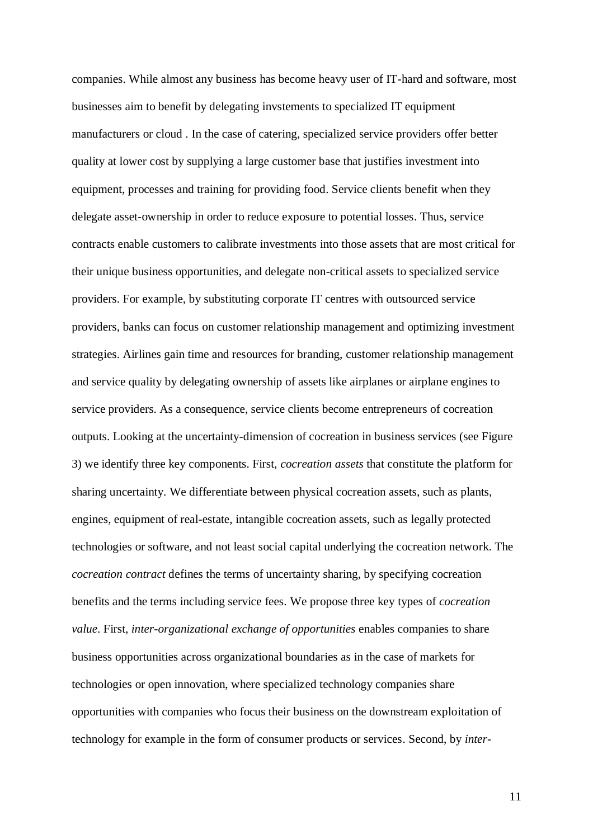companies. While almost any business has become heavy user of IT-hard and software, most businesses aim to benefit by delegating invstements to specialized IT equipment manufacturers or cloud . In the case of catering, specialized service providers offer better quality at lower cost by supplying a large customer base that justifies investment into equipment, processes and training for providing food. Service clients benefit when they delegate asset-ownership in order to reduce exposure to potential losses. Thus, service contracts enable customers to calibrate investments into those assets that are most critical for their unique business opportunities, and delegate non-critical assets to specialized service providers. For example, by substituting corporate IT centres with outsourced service providers, banks can focus on customer relationship management and optimizing investment strategies. Airlines gain time and resources for branding, customer relationship management and service quality by delegating ownership of assets like airplanes or airplane engines to service providers. As a consequence, service clients become entrepreneurs of cocreation outputs. Looking at the uncertainty-dimension of cocreation in business services (see Figure 3) we identify three key components. First, *cocreation assets* that constitute the platform for sharing uncertainty. We differentiate between physical cocreation assets, such as plants, engines, equipment of real-estate, intangible cocreation assets, such as legally protected technologies or software, and not least social capital underlying the cocreation network. The *cocreation contract* defines the terms of uncertainty sharing, by specifying cocreation benefits and the terms including service fees. We propose three key types of *cocreation value*. First, *inter-organizational exchange of opportunities* enables companies to share business opportunities across organizational boundaries as in the case of markets for technologies or open innovation, where specialized technology companies share opportunities with companies who focus their business on the downstream exploitation of technology for example in the form of consumer products or services. Second, by *inter-*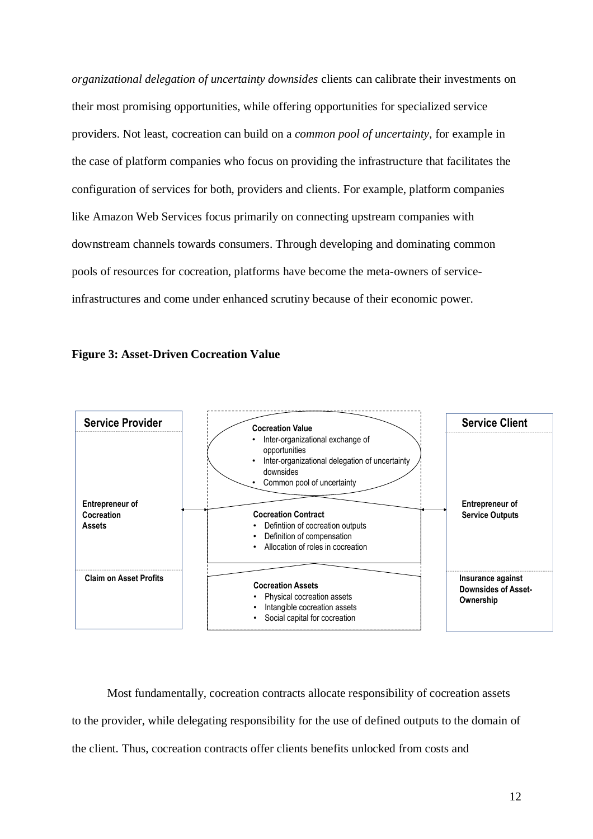*organizational delegation of uncertainty downsides* clients can calibrate their investments on their most promising opportunities, while offering opportunities for specialized service providers. Not least, cocreation can build on a *common pool of uncertainty*, for example in the case of platform companies who focus on providing the infrastructure that facilitates the configuration of services for both, providers and clients. For example, platform companies like Amazon Web Services focus primarily on connecting upstream companies with downstream channels towards consumers. Through developing and dominating common pools of resources for cocreation, platforms have become the meta-owners of serviceinfrastructures and come under enhanced scrutiny because of their economic power.





Most fundamentally, cocreation contracts allocate responsibility of cocreation assets to the provider, while delegating responsibility for the use of defined outputs to the domain of the client. Thus, cocreation contracts offer clients benefits unlocked from costs and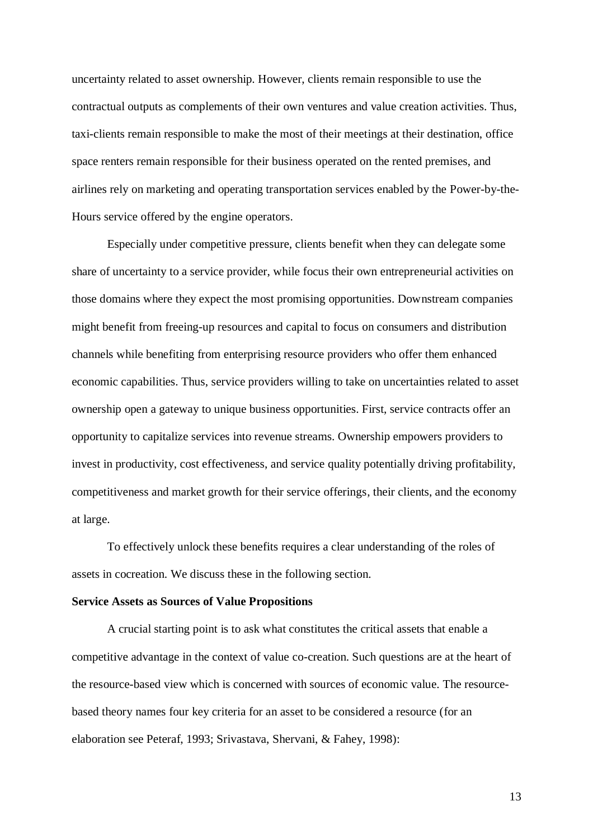uncertainty related to asset ownership. However, clients remain responsible to use the contractual outputs as complements of their own ventures and value creation activities. Thus, taxi-clients remain responsible to make the most of their meetings at their destination, office space renters remain responsible for their business operated on the rented premises, and airlines rely on marketing and operating transportation services enabled by the Power-by-the-Hours service offered by the engine operators.

Especially under competitive pressure, clients benefit when they can delegate some share of uncertainty to a service provider, while focus their own entrepreneurial activities on those domains where they expect the most promising opportunities. Downstream companies might benefit from freeing-up resources and capital to focus on consumers and distribution channels while benefiting from enterprising resource providers who offer them enhanced economic capabilities. Thus, service providers willing to take on uncertainties related to asset ownership open a gateway to unique business opportunities. First, service contracts offer an opportunity to capitalize services into revenue streams. Ownership empowers providers to invest in productivity, cost effectiveness, and service quality potentially driving profitability, competitiveness and market growth for their service offerings, their clients, and the economy at large.

To effectively unlock these benefits requires a clear understanding of the roles of assets in cocreation. We discuss these in the following section.

#### **Service Assets as Sources of Value Propositions**

A crucial starting point is to ask what constitutes the critical assets that enable a competitive advantage in the context of value co-creation. Such questions are at the heart of the resource-based view which is concerned with sources of economic value. The resourcebased theory names four key criteria for an asset to be considered a resource (for an elaboration see Peteraf, 1993; Srivastava, Shervani, & Fahey, 1998):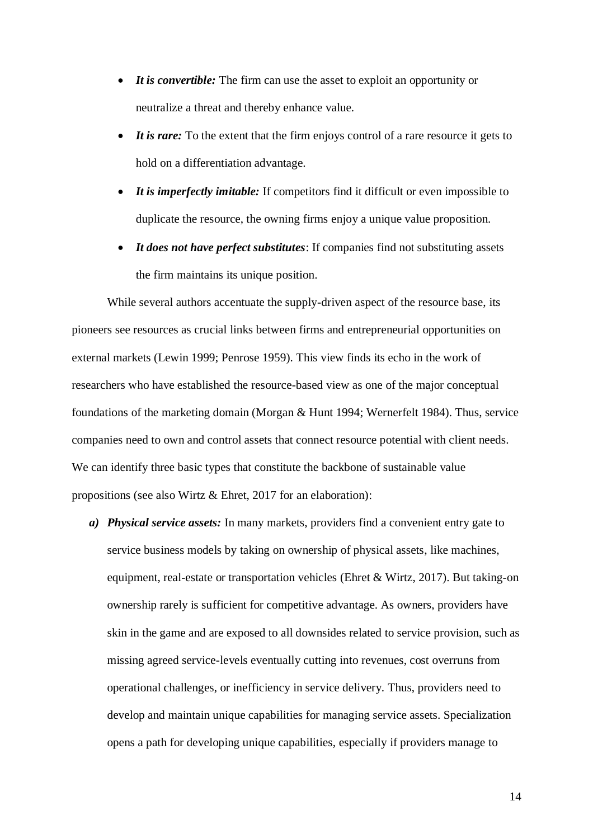- *It is convertible:* The firm can use the asset to exploit an opportunity or neutralize a threat and thereby enhance value.
- *It is rare:* To the extent that the firm enjoys control of a rare resource it gets to hold on a differentiation advantage.
- *It is imperfectly imitable:* If competitors find it difficult or even impossible to duplicate the resource, the owning firms enjoy a unique value proposition.
- *It does not have perfect substitutes*: If companies find not substituting assets the firm maintains its unique position.

While several authors accentuate the supply-driven aspect of the resource base, its pioneers see resources as crucial links between firms and entrepreneurial opportunities on external markets (Lewin 1999; Penrose 1959). This view finds its echo in the work of researchers who have established the resource-based view as one of the major conceptual foundations of the marketing domain (Morgan & Hunt 1994; Wernerfelt 1984). Thus, service companies need to own and control assets that connect resource potential with client needs. We can identify three basic types that constitute the backbone of sustainable value propositions (see also Wirtz & Ehret, 2017 for an elaboration):

*a) Physical service assets:* In many markets, providers find a convenient entry gate to service business models by taking on ownership of physical assets, like machines, equipment, real-estate or transportation vehicles (Ehret & Wirtz, 2017). But taking-on ownership rarely is sufficient for competitive advantage. As owners, providers have skin in the game and are exposed to all downsides related to service provision, such as missing agreed service-levels eventually cutting into revenues, cost overruns from operational challenges, or inefficiency in service delivery. Thus, providers need to develop and maintain unique capabilities for managing service assets. Specialization opens a path for developing unique capabilities, especially if providers manage to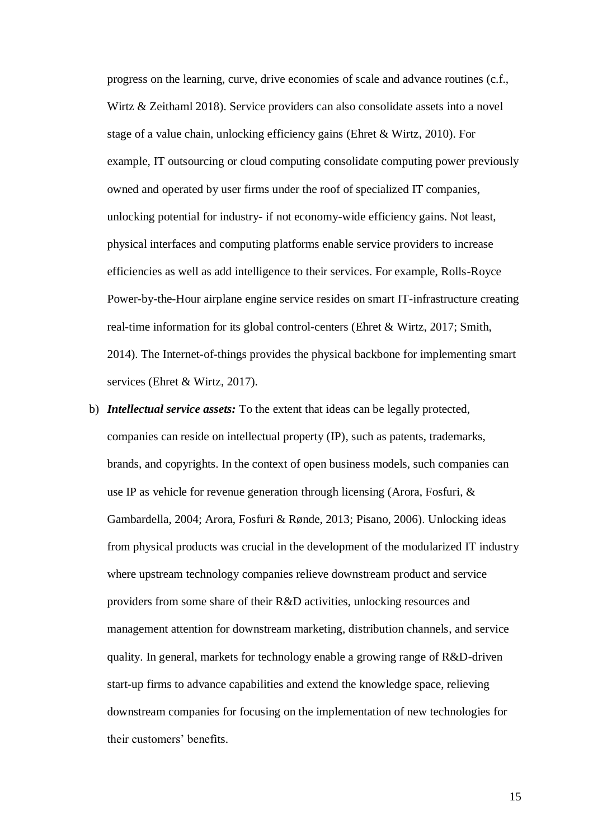progress on the learning, curve, drive economies of scale and advance routines (c.f., Wirtz & Zeithaml 2018). Service providers can also consolidate assets into a novel stage of a value chain, unlocking efficiency gains (Ehret & Wirtz, 2010). For example, IT outsourcing or cloud computing consolidate computing power previously owned and operated by user firms under the roof of specialized IT companies, unlocking potential for industry- if not economy-wide efficiency gains. Not least, physical interfaces and computing platforms enable service providers to increase efficiencies as well as add intelligence to their services. For example, Rolls-Royce Power-by-the-Hour airplane engine service resides on smart IT-infrastructure creating real-time information for its global control-centers (Ehret & Wirtz, 2017; Smith, 2014). The Internet-of-things provides the physical backbone for implementing smart services (Ehret & Wirtz, 2017).

b) *Intellectual service assets:* To the extent that ideas can be legally protected, companies can reside on intellectual property (IP), such as patents, trademarks, brands, and copyrights. In the context of open business models, such companies can use IP as vehicle for revenue generation through licensing (Arora, Fosfuri, & Gambardella, 2004; Arora, Fosfuri & Rønde, 2013; Pisano, 2006). Unlocking ideas from physical products was crucial in the development of the modularized IT industry where upstream technology companies relieve downstream product and service providers from some share of their R&D activities, unlocking resources and management attention for downstream marketing, distribution channels, and service quality. In general, markets for technology enable a growing range of R&D-driven start-up firms to advance capabilities and extend the knowledge space, relieving downstream companies for focusing on the implementation of new technologies for their customers' benefits.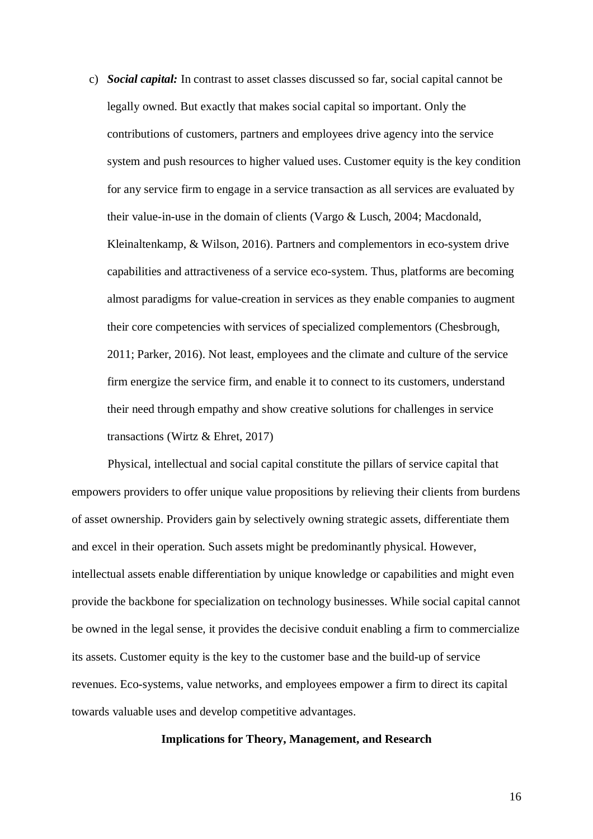c) *Social capital:* In contrast to asset classes discussed so far, social capital cannot be legally owned. But exactly that makes social capital so important. Only the contributions of customers, partners and employees drive agency into the service system and push resources to higher valued uses. Customer equity is the key condition for any service firm to engage in a service transaction as all services are evaluated by their value-in-use in the domain of clients (Vargo & Lusch, 2004; Macdonald, Kleinaltenkamp, & Wilson, 2016). Partners and complementors in eco-system drive capabilities and attractiveness of a service eco-system. Thus, platforms are becoming almost paradigms for value-creation in services as they enable companies to augment their core competencies with services of specialized complementors (Chesbrough, 2011; Parker, 2016). Not least, employees and the climate and culture of the service firm energize the service firm, and enable it to connect to its customers, understand their need through empathy and show creative solutions for challenges in service transactions (Wirtz & Ehret, 2017)

Physical, intellectual and social capital constitute the pillars of service capital that empowers providers to offer unique value propositions by relieving their clients from burdens of asset ownership. Providers gain by selectively owning strategic assets, differentiate them and excel in their operation. Such assets might be predominantly physical. However, intellectual assets enable differentiation by unique knowledge or capabilities and might even provide the backbone for specialization on technology businesses. While social capital cannot be owned in the legal sense, it provides the decisive conduit enabling a firm to commercialize its assets. Customer equity is the key to the customer base and the build-up of service revenues. Eco-systems, value networks, and employees empower a firm to direct its capital towards valuable uses and develop competitive advantages.

### **Implications for Theory, Management, and Research**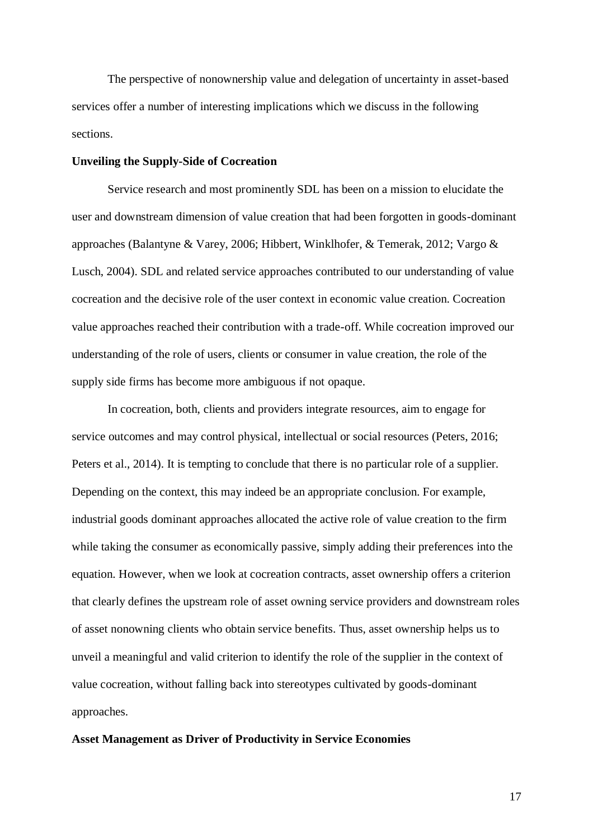The perspective of nonownership value and delegation of uncertainty in asset-based services offer a number of interesting implications which we discuss in the following sections.

#### **Unveiling the Supply-Side of Cocreation**

Service research and most prominently SDL has been on a mission to elucidate the user and downstream dimension of value creation that had been forgotten in goods-dominant approaches (Balantyne & Varey, 2006; Hibbert, Winklhofer, & Temerak, 2012; Vargo & Lusch, 2004). SDL and related service approaches contributed to our understanding of value cocreation and the decisive role of the user context in economic value creation. Cocreation value approaches reached their contribution with a trade-off. While cocreation improved our understanding of the role of users, clients or consumer in value creation, the role of the supply side firms has become more ambiguous if not opaque.

In cocreation, both, clients and providers integrate resources, aim to engage for service outcomes and may control physical, intellectual or social resources (Peters, 2016; Peters et al., 2014). It is tempting to conclude that there is no particular role of a supplier. Depending on the context, this may indeed be an appropriate conclusion. For example, industrial goods dominant approaches allocated the active role of value creation to the firm while taking the consumer as economically passive, simply adding their preferences into the equation. However, when we look at cocreation contracts, asset ownership offers a criterion that clearly defines the upstream role of asset owning service providers and downstream roles of asset nonowning clients who obtain service benefits. Thus, asset ownership helps us to unveil a meaningful and valid criterion to identify the role of the supplier in the context of value cocreation, without falling back into stereotypes cultivated by goods-dominant approaches.

### **Asset Management as Driver of Productivity in Service Economies**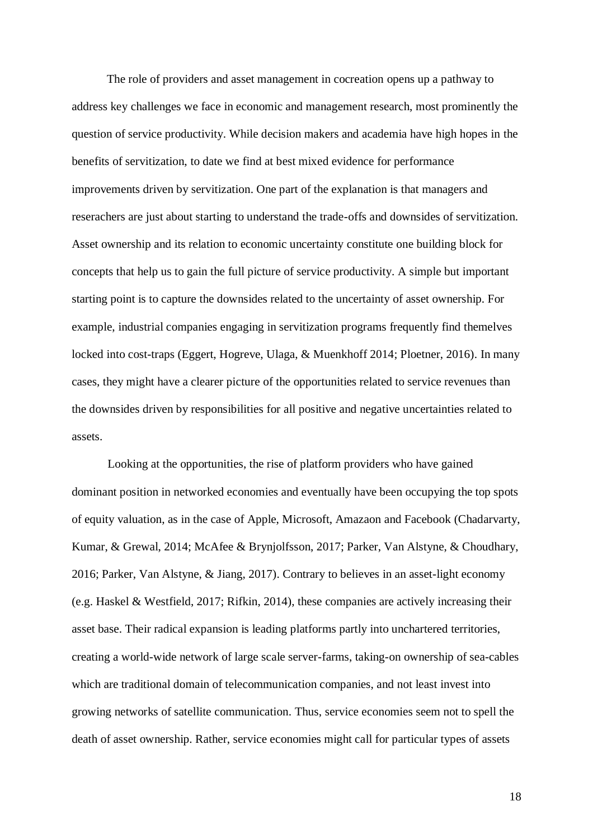The role of providers and asset management in cocreation opens up a pathway to address key challenges we face in economic and management research, most prominently the question of service productivity. While decision makers and academia have high hopes in the benefits of servitization, to date we find at best mixed evidence for performance improvements driven by servitization. One part of the explanation is that managers and reserachers are just about starting to understand the trade-offs and downsides of servitization. Asset ownership and its relation to economic uncertainty constitute one building block for concepts that help us to gain the full picture of service productivity. A simple but important starting point is to capture the downsides related to the uncertainty of asset ownership. For example, industrial companies engaging in servitization programs frequently find themelves locked into cost-traps (Eggert, Hogreve, Ulaga, & Muenkhoff 2014; Ploetner, 2016). In many cases, they might have a clearer picture of the opportunities related to service revenues than the downsides driven by responsibilities for all positive and negative uncertainties related to assets.

Looking at the opportunities, the rise of platform providers who have gained dominant position in networked economies and eventually have been occupying the top spots of equity valuation, as in the case of Apple, Microsoft, Amazaon and Facebook (Chadarvarty, Kumar, & Grewal, 2014; McAfee & Brynjolfsson, 2017; Parker, Van Alstyne, & Choudhary, 2016; Parker, Van Alstyne, & Jiang, 2017). Contrary to believes in an asset-light economy (e.g. Haskel & Westfield, 2017; Rifkin, 2014), these companies are actively increasing their asset base. Their radical expansion is leading platforms partly into unchartered territories, creating a world-wide network of large scale server-farms, taking-on ownership of sea-cables which are traditional domain of telecommunication companies, and not least invest into growing networks of satellite communication. Thus, service economies seem not to spell the death of asset ownership. Rather, service economies might call for particular types of assets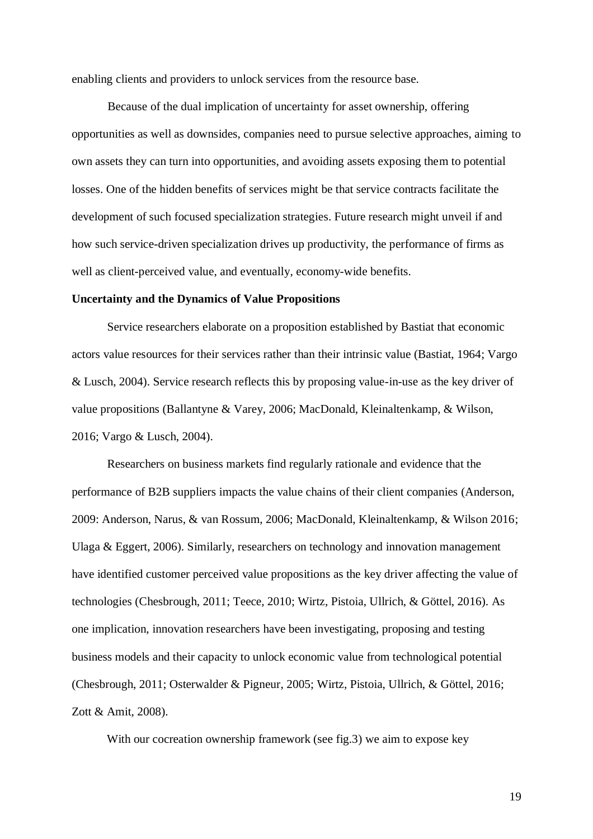enabling clients and providers to unlock services from the resource base.

Because of the dual implication of uncertainty for asset ownership, offering opportunities as well as downsides, companies need to pursue selective approaches, aiming to own assets they can turn into opportunities, and avoiding assets exposing them to potential losses. One of the hidden benefits of services might be that service contracts facilitate the development of such focused specialization strategies. Future research might unveil if and how such service-driven specialization drives up productivity, the performance of firms as well as client-perceived value, and eventually, economy-wide benefits.

# **Uncertainty and the Dynamics of Value Propositions**

Service researchers elaborate on a proposition established by Bastiat that economic actors value resources for their services rather than their intrinsic value (Bastiat, 1964; Vargo & Lusch, 2004). Service research reflects this by proposing value-in-use as the key driver of value propositions (Ballantyne & Varey, 2006; MacDonald, Kleinaltenkamp, & Wilson, 2016; Vargo & Lusch, 2004).

Researchers on business markets find regularly rationale and evidence that the performance of B2B suppliers impacts the value chains of their client companies (Anderson, 2009: Anderson, Narus, & van Rossum, 2006; MacDonald, Kleinaltenkamp, & Wilson 2016; Ulaga & Eggert, 2006). Similarly, researchers on technology and innovation management have identified customer perceived value propositions as the key driver affecting the value of technologies (Chesbrough, 2011; Teece, 2010; Wirtz, Pistoia, Ullrich, & Göttel, 2016). As one implication, innovation researchers have been investigating, proposing and testing business models and their capacity to unlock economic value from technological potential (Chesbrough, 2011; Osterwalder & Pigneur, 2005; Wirtz, Pistoia, Ullrich, & Göttel, 2016; Zott & Amit, 2008).

With our cocreation ownership framework (see fig.3) we aim to expose key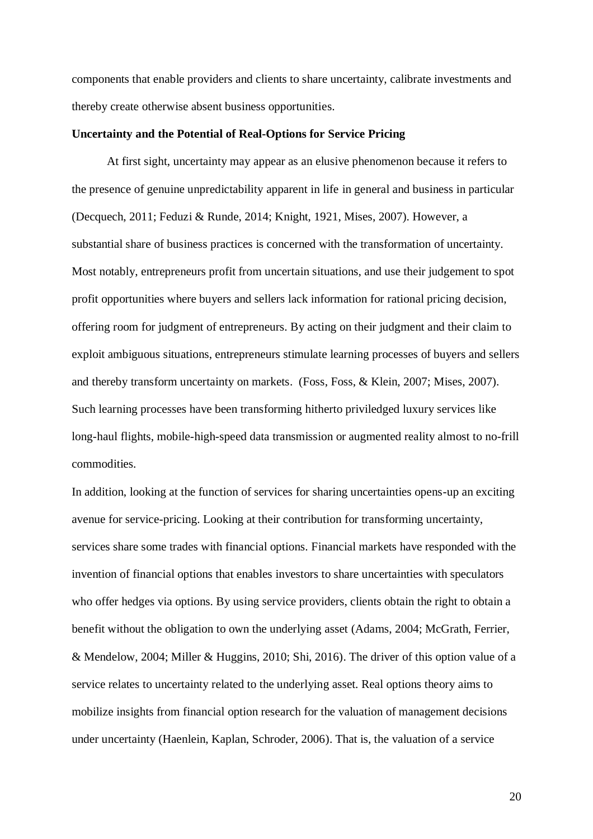components that enable providers and clients to share uncertainty, calibrate investments and thereby create otherwise absent business opportunities.

#### **Uncertainty and the Potential of Real-Options for Service Pricing**

At first sight, uncertainty may appear as an elusive phenomenon because it refers to the presence of genuine unpredictability apparent in life in general and business in particular (Decquech, 2011; Feduzi & Runde, 2014; Knight, 1921, Mises, 2007). However, a substantial share of business practices is concerned with the transformation of uncertainty. Most notably, entrepreneurs profit from uncertain situations, and use their judgement to spot profit opportunities where buyers and sellers lack information for rational pricing decision, offering room for judgment of entrepreneurs. By acting on their judgment and their claim to exploit ambiguous situations, entrepreneurs stimulate learning processes of buyers and sellers and thereby transform uncertainty on markets. (Foss, Foss, & Klein, 2007; Mises, 2007). Such learning processes have been transforming hitherto priviledged luxury services like long-haul flights, mobile-high-speed data transmission or augmented reality almost to no-frill commodities.

In addition, looking at the function of services for sharing uncertainties opens-up an exciting avenue for service-pricing. Looking at their contribution for transforming uncertainty, services share some trades with financial options. Financial markets have responded with the invention of financial options that enables investors to share uncertainties with speculators who offer hedges via options. By using service providers, clients obtain the right to obtain a benefit without the obligation to own the underlying asset (Adams, 2004; McGrath, Ferrier, & Mendelow, 2004; Miller & Huggins, 2010; Shi, 2016). The driver of this option value of a service relates to uncertainty related to the underlying asset. Real options theory aims to mobilize insights from financial option research for the valuation of management decisions under uncertainty (Haenlein, Kaplan, Schroder, 2006). That is, the valuation of a service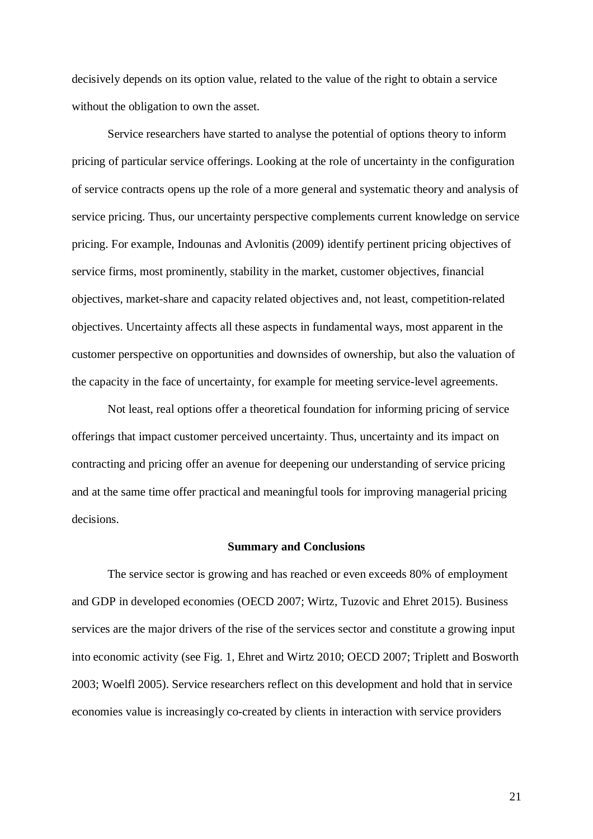decisively depends on its option value, related to the value of the right to obtain a service without the obligation to own the asset.

Service researchers have started to analyse the potential of options theory to inform pricing of particular service offerings. Looking at the role of uncertainty in the configuration of service contracts opens up the role of a more general and systematic theory and analysis of service pricing. Thus, our uncertainty perspective complements current knowledge on service pricing. For example, Indounas and Avlonitis (2009) identify pertinent pricing objectives of service firms, most prominently, stability in the market, customer objectives, financial objectives, market-share and capacity related objectives and, not least, competition-related objectives. Uncertainty affects all these aspects in fundamental ways, most apparent in the customer perspective on opportunities and downsides of ownership, but also the valuation of the capacity in the face of uncertainty, for example for meeting service-level agreements.

Not least, real options offer a theoretical foundation for informing pricing of service offerings that impact customer perceived uncertainty. Thus, uncertainty and its impact on contracting and pricing offer an avenue for deepening our understanding of service pricing and at the same time offer practical and meaningful tools for improving managerial pricing decisions.

#### **Summary and Conclusions**

The service sector is growing and has reached or even exceeds 80% of employment and GDP in developed economies (OECD 2007; Wirtz, Tuzovic and Ehret 2015). Business services are the major drivers of the rise of the services sector and constitute a growing input into economic activity (see Fig. 1, Ehret and Wirtz 2010; OECD 2007; Triplett and Bosworth 2003; Woelfl 2005). Service researchers reflect on this development and hold that in service economies value is increasingly co-created by clients in interaction with service providers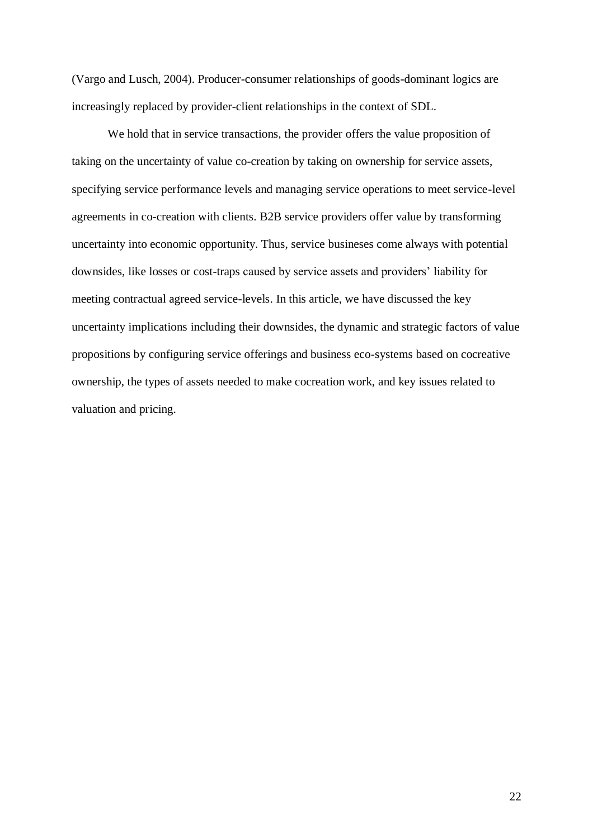(Vargo and Lusch, 2004). Producer-consumer relationships of goods-dominant logics are increasingly replaced by provider-client relationships in the context of SDL.

We hold that in service transactions, the provider offers the value proposition of taking on the uncertainty of value co-creation by taking on ownership for service assets, specifying service performance levels and managing service operations to meet service-level agreements in co-creation with clients. B2B service providers offer value by transforming uncertainty into economic opportunity. Thus, service busineses come always with potential downsides, like losses or cost-traps caused by service assets and providers' liability for meeting contractual agreed service-levels. In this article, we have discussed the key uncertainty implications including their downsides, the dynamic and strategic factors of value propositions by configuring service offerings and business eco-systems based on cocreative ownership, the types of assets needed to make cocreation work, and key issues related to valuation and pricing.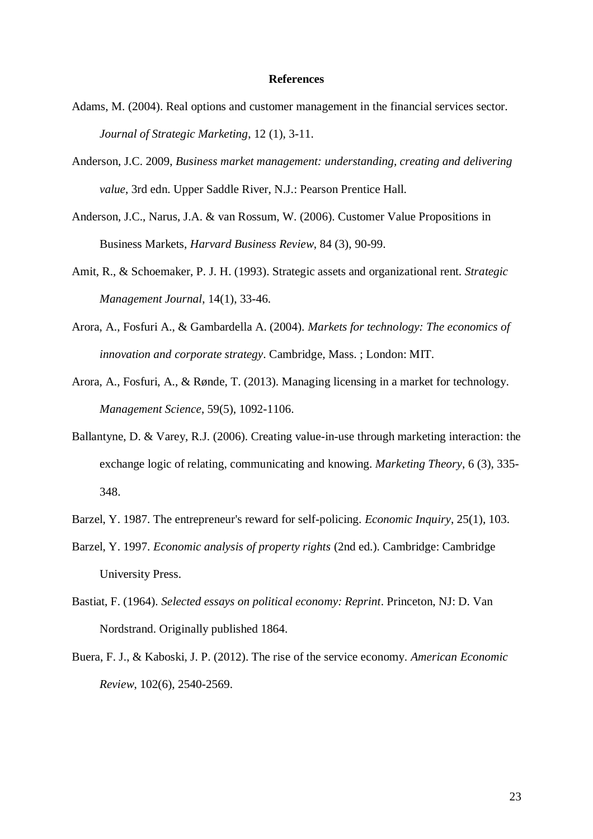#### **References**

- Adams, M. (2004). Real options and customer management in the financial services sector. *Journal of Strategic Marketing*, 12 (1), 3-11.
- Anderson, J.C. 2009, *Business market management: understanding, creating and delivering value*, 3rd edn. Upper Saddle River, N.J.: Pearson Prentice Hall.
- Anderson, J.C., Narus, J.A. & van Rossum, W. (2006). Customer Value Propositions in Business Markets, *Harvard Business Review*, 84 (3), 90-99.
- Amit, R., & Schoemaker, P. J. H. (1993). Strategic assets and organizational rent. *Strategic Management Journal*, 14(1), 33-46.
- Arora, A., Fosfuri A., & Gambardella A. (2004). *Markets for technology: The economics of innovation and corporate strategy*. Cambridge, Mass. ; London: MIT.
- Arora, A., Fosfuri, A., & Rønde, T. (2013). Managing licensing in a market for technology. *Management Science*, 59(5), 1092-1106.
- Ballantyne, D. & Varey, R.J. (2006). Creating value-in-use through marketing interaction: the exchange logic of relating, communicating and knowing. *Marketing Theory*, 6 (3), 335- 348.
- Barzel, Y. 1987. The entrepreneur's reward for self-policing. *Economic Inquiry*, 25(1), 103.
- Barzel, Y. 1997. *Economic analysis of property rights* (2nd ed.). Cambridge: Cambridge University Press.
- Bastiat, F. (1964). *Selected essays on political economy: Reprint*. Princeton, NJ: D. Van Nordstrand. Originally published 1864.
- Buera, F. J., & Kaboski, J. P. (2012). The rise of the service economy. *American Economic Review*, 102(6), 2540-2569.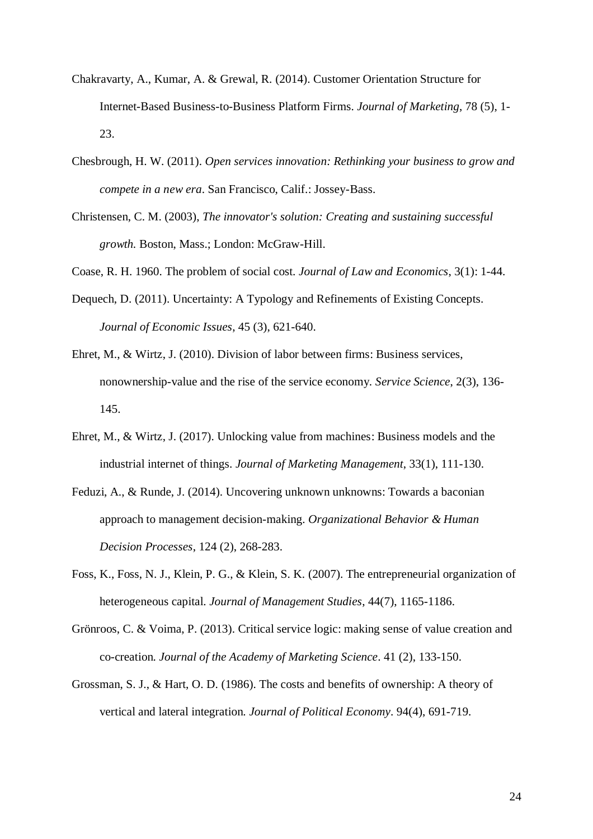- Chakravarty, A., Kumar, A. & Grewal, R. (2014). Customer Orientation Structure for Internet-Based Business-to-Business Platform Firms. *Journal of Marketing*, 78 (5), 1- 23.
- Chesbrough, H. W. (2011). *Open services innovation: Rethinking your business to grow and compete in a new era*. San Francisco, Calif.: Jossey-Bass.
- Christensen, C. M. (2003), *The innovator's solution: Creating and sustaining successful growth.* Boston, Mass.; London: McGraw-Hill.
- Coase, R. H. 1960. The problem of social cost. *Journal of Law and Economics*, 3(1): 1-44.
- Dequech, D. (2011). Uncertainty: A Typology and Refinements of Existing Concepts. *Journal of Economic Issues*, 45 (3), 621-640.
- Ehret, M., & Wirtz, J. (2010). Division of labor between firms: Business services, nonownership-value and the rise of the service economy. *Service Science*, 2(3), 136- 145.
- Ehret, M., & Wirtz, J. (2017). Unlocking value from machines: Business models and the industrial internet of things. *Journal of Marketing Management*, 33(1), 111-130.
- Feduzi, A., & Runde, J. (2014). Uncovering unknown unknowns: Towards a baconian approach to management decision-making. *Organizational Behavior & Human Decision Processes*, 124 (2), 268-283.
- Foss, K., Foss, N. J., Klein, P. G., & Klein, S. K. (2007). The entrepreneurial organization of heterogeneous capital. *Journal of Management Studies*, 44(7), 1165-1186.
- Grönroos, C. & Voima, P. (2013). Critical service logic: making sense of value creation and co-creation*. Journal of the Academy of Marketing Science*. 41 (2), 133-150.
- Grossman, S. J., & Hart, O. D. (1986). The costs and benefits of ownership: A theory of vertical and lateral integration. *Journal of Political Economy*. 94(4), 691-719.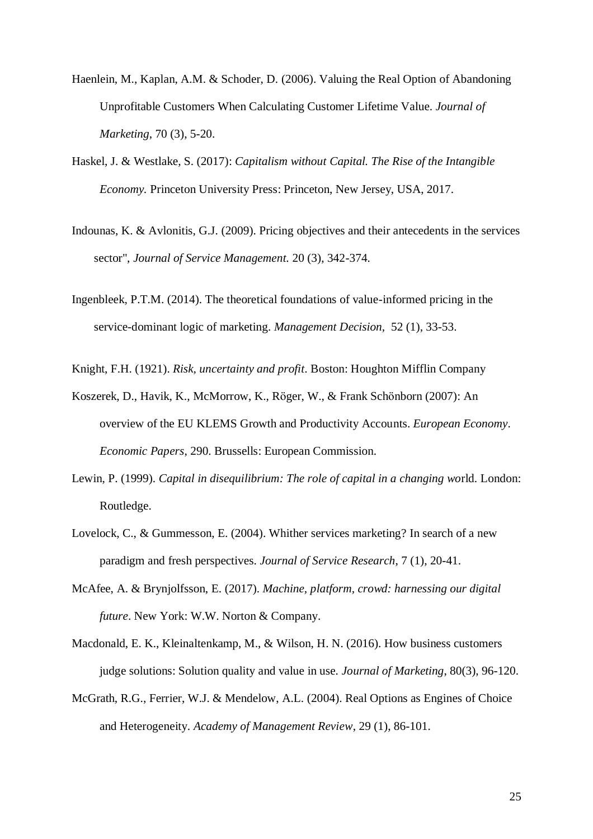- Haenlein, M., Kaplan, A.M. & Schoder, D. (2006). Valuing the Real Option of Abandoning Unprofitable Customers When Calculating Customer Lifetime Value. *Journal of Marketing*, 70 (3), 5-20.
- Haskel, J. & Westlake, S. (2017): *Capitalism without Capital. The Rise of the Intangible Economy.* Princeton University Press: Princeton, New Jersey, USA, 2017.
- Indounas, K. & Avlonitis, G.J. (2009). Pricing objectives and their antecedents in the services sector", *Journal of Service Management.* 20 (3), 342-374.
- Ingenbleek, P.T.M. (2014). The theoretical foundations of value-informed pricing in the service-dominant logic of marketing. *Management Decision,* 52 (1), 33-53.

Knight, F.H. (1921). *Risk, uncertainty and profit*. Boston: Houghton Mifflin Company

- Koszerek, D., Havik, K., McMorrow, K., Röger, W., & Frank Schönborn (2007): An overview of the EU KLEMS Growth and Productivity Accounts. *European Economy*. *Economic Papers*, 290. Brussells: European Commission.
- Lewin, P. (1999). *Capital in disequilibrium: The role of capital in a changing wo*rld. London: Routledge.
- Lovelock, C., & Gummesson, E. (2004). Whither services marketing? In search of a new paradigm and fresh perspectives. *Journal of Service Research*, 7 (1), 20-41.
- McAfee, A. & Brynjolfsson, E. (2017). *Machine, platform, crowd: harnessing our digital future*. New York: W.W. Norton & Company.
- Macdonald, E. K., Kleinaltenkamp, M., & Wilson, H. N. (2016). How business customers judge solutions: Solution quality and value in use. *Journal of Marketing*, 80(3), 96-120.
- McGrath, R.G., Ferrier, W.J. & Mendelow, A.L. (2004). Real Options as Engines of Choice and Heterogeneity. *Academy of Management Review*, 29 (1), 86-101.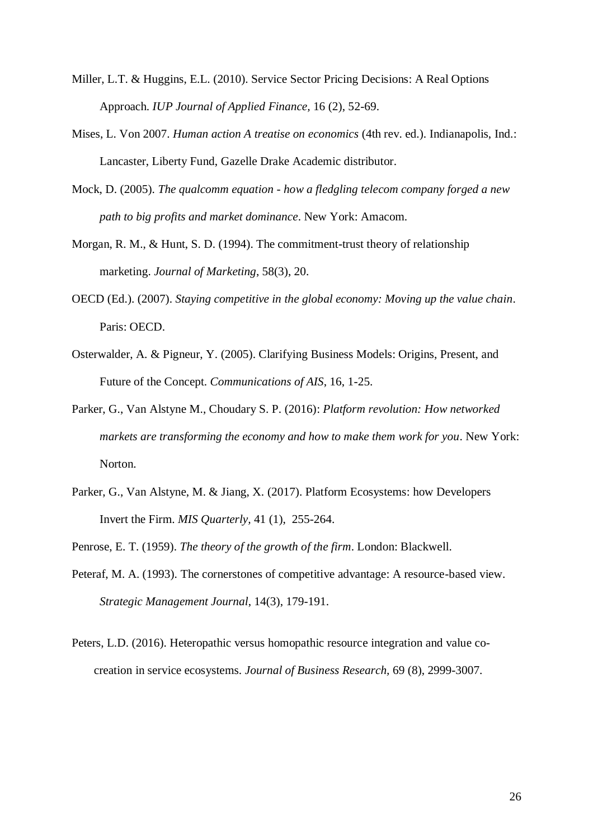- Miller, L.T. & Huggins, E.L. (2010). Service Sector Pricing Decisions: A Real Options Approach. *IUP Journal of Applied Finance,* 16 (2), 52-69.
- Mises, L. Von 2007. *Human action A treatise on economics* (4th rev. ed.). Indianapolis, Ind.: Lancaster, Liberty Fund, Gazelle Drake Academic distributor.
- Mock, D. (2005). *The qualcomm equation - how a fledgling telecom company forged a new path to big profits and market dominance*. New York: Amacom.
- Morgan, R. M., & Hunt, S. D. (1994). The commitment-trust theory of relationship marketing. *Journal of Marketing*, 58(3), 20.
- OECD (Ed.). (2007). *Staying competitive in the global economy: Moving up the value chain*. Paris: OECD.
- Osterwalder, A. & Pigneur, Y. (2005). Clarifying Business Models: Origins, Present, and Future of the Concept. *Communications of AIS*, 16, 1-25.
- Parker, G., Van Alstyne M., Choudary S. P. (2016): *Platform revolution: How networked markets are transforming the economy and how to make them work for you*. New York: Norton.
- Parker, G., Van Alstyne, M. & Jiang, X. (2017). Platform Ecosystems: how Developers Invert the Firm. *MIS Quarterly,* 41 (1), 255-264.
- Penrose, E. T. (1959). *The theory of the growth of the firm*. London: Blackwell.
- Peteraf, M. A. (1993). The cornerstones of competitive advantage: A resource-based view. *Strategic Management Journal*, 14(3), 179-191.
- Peters, L.D. (2016). Heteropathic versus homopathic resource integration and value cocreation in service ecosystems. *Journal of Business Research,* 69 (8), 2999-3007.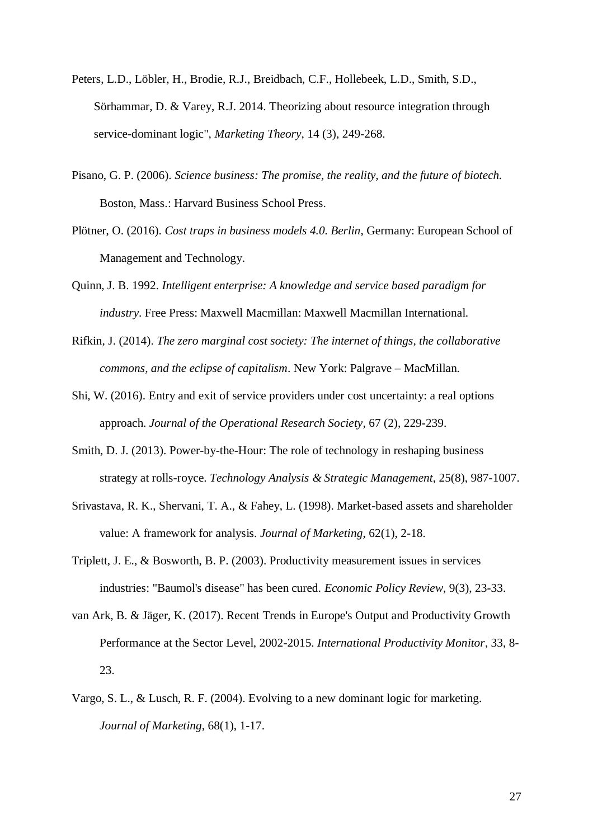- Peters, L.D., Löbler, H., Brodie, R.J., Breidbach, C.F., Hollebeek, L.D., Smith, S.D., Sörhammar, D. & Varey, R.J. 2014. Theorizing about resource integration through service-dominant logic", *Marketing Theory*, 14 (3), 249-268.
- Pisano, G. P. (2006). *Science business: The promise, the reality, and the future of biotech.* Boston, Mass.: Harvard Business School Press.
- Plötner, O. (2016). *Cost traps in business models 4.0. Berlin*, Germany: European School of Management and Technology.
- Quinn, J. B. 1992. *Intelligent enterprise: A knowledge and service based paradigm for industry*. Free Press: Maxwell Macmillan: Maxwell Macmillan International.
- Rifkin, J. (2014). *The zero marginal cost society: The internet of things, the collaborative commons, and the eclipse of capitalism*. New York: Palgrave – MacMillan.
- Shi, W. (2016). Entry and exit of service providers under cost uncertainty: a real options approach. *Journal of the Operational Research Society,* 67 (2), 229-239.
- Smith, D. J. (2013). Power-by-the-Hour: The role of technology in reshaping business strategy at rolls-royce. *Technology Analysis & Strategic Management*, 25(8), 987-1007.
- Srivastava, R. K., Shervani, T. A., & Fahey, L. (1998). Market-based assets and shareholder value: A framework for analysis. *Journal of Marketing*, 62(1), 2-18.
- Triplett, J. E., & Bosworth, B. P. (2003). Productivity measurement issues in services industries: "Baumol's disease" has been cured. *Economic Policy Review*, 9(3), 23-33.
- van Ark, B. & Jäger, K. (2017). Recent Trends in Europe's Output and Productivity Growth Performance at the Sector Level, 2002-2015. *International Productivity Monitor*, 33, 8- 23.
- Vargo, S. L., & Lusch, R. F. (2004). Evolving to a new dominant logic for marketing. *Journal of Marketing*, 68(1), 1-17.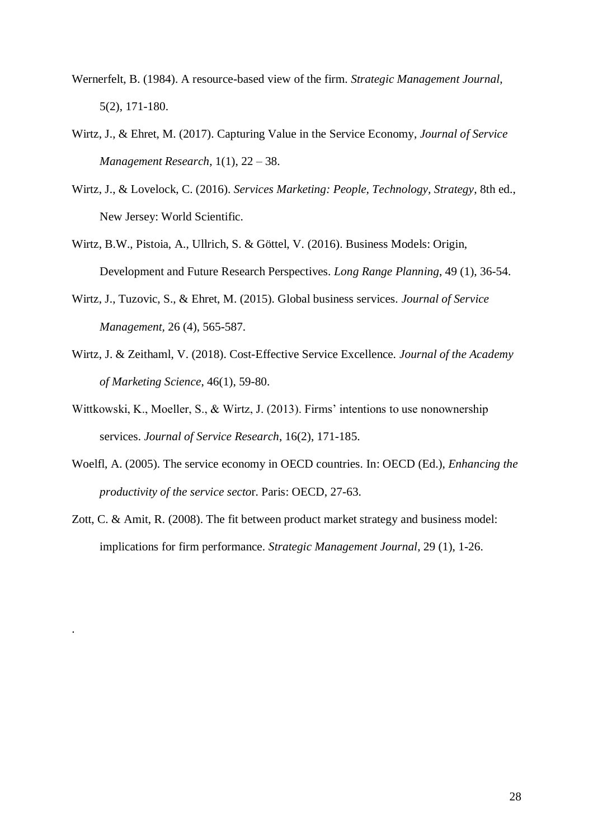- Wernerfelt, B. (1984). A resource-based view of the firm. *Strategic Management Journal*, 5(2), 171-180.
- Wirtz, J., & Ehret, M. (2017). Capturing Value in the Service Economy, *Journal of Service Management Research*, 1(1), 22 – 38.
- Wirtz, J., & Lovelock, C. (2016). *Services Marketing: People, Technology, Strategy*, 8th ed., New Jersey: World Scientific.
- Wirtz, B.W., Pistoia, A., Ullrich, S. & Göttel, V. (2016). Business Models: Origin, Development and Future Research Perspectives. *Long Range Planning*, 49 (1), 36-54.
- Wirtz, J., Tuzovic, S., & Ehret, M. (2015). Global business services. *Journal of Service Management,* 26 (4), 565-587.
- Wirtz, J. & Zeithaml, V. (2018). Cost-Effective Service Excellence. *Journal of the Academy of Marketing Science*, 46(1), 59-80.
- Wittkowski, K., Moeller, S., & Wirtz, J. (2013). Firms' intentions to use nonownership services. *Journal of Service Research*, 16(2), 171-185.
- Woelfl, A. (2005). The service economy in OECD countries. In: OECD (Ed.), *Enhancing the productivity of the service secto*r. Paris: OECD, 27-63.
- Zott, C. & Amit, R. (2008). The fit between product market strategy and business model: implications for firm performance. *Strategic Management Journal*, 29 (1), 1-26.

.